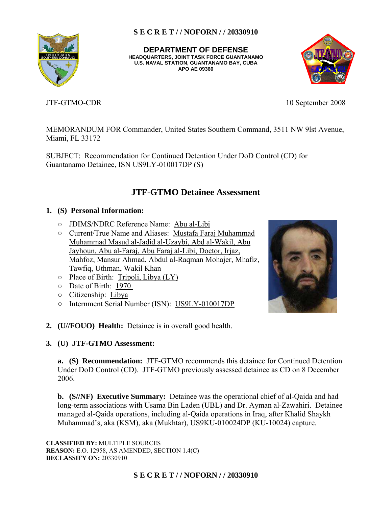**U.S. NAVAL STATION, GUANTANAMO BAY, CUBA DEPARTMENT OF DEFENSE HEADQUARTERS, JOINT TASK FORCE GUANTANAMO APO AE 09360** 



JTF-GTMO-CDR 10 September 2008

MEMORANDUM FOR Commander, United States Southern Command, 3511 NW 9lst Avenue, Miami, FL 33172

SUBJECT: Recommendation for Continued Detention Under DoD Control (CD) for Guantanamo Detainee, ISN US9LY-010017DP (S)

# **JTF-GTMO Detainee Assessment**

## **1. (S) Personal Information:**

- JDIMS/NDRC Reference Name: Abu al-Libi
- Current/True Name and Aliases: Mustafa Faraj Muhammad Muhammad Masud al-Jadid al-Uzaybi, Abd al-Wakil, Abu Jayhoun, Abu al-Faraj, Abu Faraj al-Libi, Doctor, Irjaz, Mahfoz, Mansur Ahmad, Abdul al-Raqman Mohajer, Mhafiz, Tawfiq, Uthman, Wakil Khan
- $\circ$  Place of Birth: Tripoli, Libya (LY)
- Date of Birth: 1970
- Citizenship: Libya
- Internment Serial Number (ISN): US9LY-010017DP
- **2. (U//FOUO) Health:** Detainee is in overall good health.

## **3. (U) JTF-GTMO Assessment:**

 **a. (S) Recommendation:** JTF-GTMO recommends this detainee for Continued Detention Under DoD Control (CD). JTF-GTMO previously assessed detainee as CD on 8 December 2006.

**b. (S//NF) Executive Summary:** Detainee was the operational chief of al-Qaida and had long-term associations with Usama Bin Laden (UBL) and Dr. Ayman al-Zawahiri. Detainee managed al-Qaida operations, including al-Qaida operations in Iraq, after Khalid Shaykh Muhammad's, aka (KSM), aka (Mukhtar), US9KU-010024DP (KU-10024) capture.

**CLASSIFIED BY:** MULTIPLE SOURCES **REASON:** E.O. 12958, AS AMENDED, SECTION 1.4(C) **DECLASSIFY ON:** 20330910



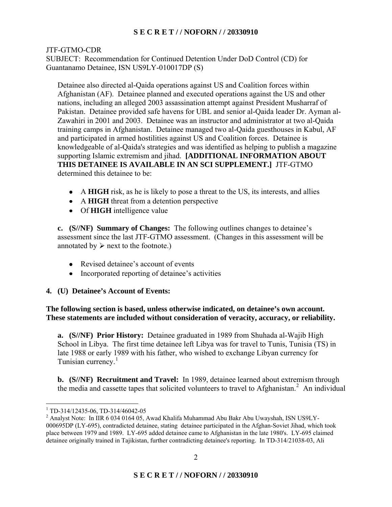## JTF-GTMO-CDR

SUBJECT: Recommendation for Continued Detention Under DoD Control (CD) for Guantanamo Detainee, ISN US9LY-010017DP (S)

Detainee also directed al-Qaida operations against US and Coalition forces within Afghanistan (AF). Detainee planned and executed operations against the US and other nations, including an alleged 2003 assassination attempt against President Musharraf of Pakistan. Detainee provided safe havens for UBL and senior al-Qaida leader Dr. Ayman al-Zawahiri in 2001 and 2003. Detainee was an instructor and administrator at two al-Qaida training camps in Afghanistan. Detainee managed two al-Qaida guesthouses in Kabul, AF and participated in armed hostilities against US and Coalition forces. Detainee is knowledgeable of al-Qaida's strategies and was identified as helping to publish a magazine supporting Islamic extremism and jihad. **[ADDITIONAL INFORMATION ABOUT THIS DETAINEE IS AVAILABLE IN AN SCI SUPPLEMENT.]** JTF-GTMO determined this detainee to be:

- A **HIGH** risk, as he is likely to pose a threat to the US, its interests, and allies
- A **HIGH** threat from a detention perspective
- Of **HIGH** intelligence value

**c. (S//NF) Summary of Changes:** The following outlines changes to detainee's assessment since the last JTF-GTMO assessment. (Changes in this assessment will be annotated by  $\triangleright$  next to the footnote.)

- Revised detainee's account of events
- Incorporated reporting of detainee's activities
- **4. (U) Detainee's Account of Events:**

**The following section is based, unless otherwise indicated, on detainee's own account. These statements are included without consideration of veracity, accuracy, or reliability.** 

 **a. (S//NF) Prior History:** Detainee graduated in 1989 from Shuhada al-Wajib High School in Libya. The first time detainee left Libya was for travel to Tunis, Tunisia (TS) in late 1988 or early 1989 with his father, who wished to exchange Libyan currency for Tunisian currency.<sup>1</sup>

**b. (S//NF) Recruitment and Travel:** In 1989, detainee learned about extremism through the media and cassette tapes that solicited volunteers to travel to Afghanistan.<sup>2</sup> An individual

 1 TD-314/12435-06, TD-314/46042-05

 $^2$  Analyst Note: In IIR 6 034 0164 05, Awad Khalifa Muhammad Abu Bakr Abu Uwayshah, ISN US9LY- 000695DP (LY-695), contradicted detainee, stating detainee participated in the Afghan-Soviet Jihad, which took place between 1979 and 1989. LY-695 added detainee came to Afghanistan in the late 1980's. LY-695 claimed detainee originally trained in Tajikistan, further contradicting detainee's reporting. In TD-314/21038-03, Ali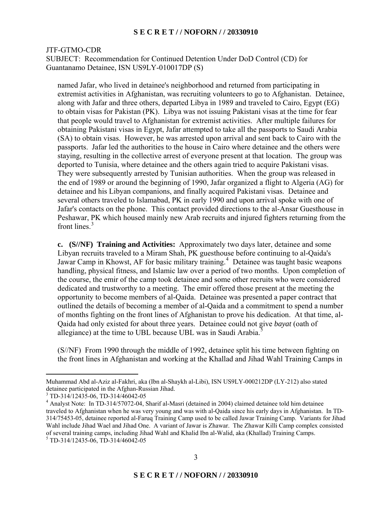#### JTF-GTMO-CDR

SUBJECT: Recommendation for Continued Detention Under DoD Control (CD) for Guantanamo Detainee, ISN US9LY-010017DP (S)

named Jafar, who lived in detainee's neighborhood and returned from participating in extremist activities in Afghanistan, was recruiting volunteers to go to Afghanistan. Detainee, along with Jafar and three others, departed Libya in 1989 and traveled to Cairo, Egypt (EG) to obtain visas for Pakistan (PK). Libya was not issuing Pakistani visas at the time for fear that people would travel to Afghanistan for extremist activities. After multiple failures for obtaining Pakistani visas in Egypt, Jafar attempted to take all the passports to Saudi Arabia (SA) to obtain visas. However, he was arrested upon arrival and sent back to Cairo with the passports. Jafar led the authorities to the house in Cairo where detainee and the others were staying, resulting in the collective arrest of everyone present at that location. The group was deported to Tunisia, where detainee and the others again tried to acquire Pakistani visas. They were subsequently arrested by Tunisian authorities. When the group was released in the end of 1989 or around the beginning of 1990, Jafar organized a flight to Algeria (AG) for detainee and his Libyan companions, and finally acquired Pakistani visas. Detainee and several others traveled to Islamabad, PK in early 1990 and upon arrival spoke with one of Jafar's contacts on the phone. This contact provided directions to the al-Ansar Guesthouse in Peshawar, PK which housed mainly new Arab recruits and injured fighters returning from the front lines $<sup>3</sup>$ </sup>

**c. (S//NF) Training and Activities:** Approximately two days later, detainee and some Libyan recruits traveled to a Miram Shah, PK guesthouse before continuing to al-Qaida's Jawar Camp in Khowst, AF for basic military training.4 Detainee was taught basic weapons handling, physical fitness, and Islamic law over a period of two months. Upon completion of the course, the emir of the camp took detainee and some other recruits who were considered dedicated and trustworthy to a meeting. The emir offered those present at the meeting the opportunity to become members of al-Qaida. Detainee was presented a paper contract that outlined the details of becoming a member of al-Qaida and a commitment to spend a number of months fighting on the front lines of Afghanistan to prove his dedication. At that time, al-Qaida had only existed for about three years. Detainee could not give *bayat* (oath of allegiance) at the time to UBL because UBL was in Saudi Arabia.<sup>5</sup>

(S//NF) From 1990 through the middle of 1992, detainee split his time between fighting on the front lines in Afghanistan and working at the Khallad and Jihad Wahl Training Camps in

Muhammad Abd al-Aziz al-Fakhri, aka (Ibn al-Shaykh al-Libi), ISN US9LY-000212DP (LY-212) also stated detainee participated in the Afghan-Russian Jihad.

<sup>3</sup> TD-314/12435-06, TD-314/46042-05

 Wahl include Jihad Wael and Jihad One. A variant of Jawar is Zhawar. The Zhawar Killi Camp complex consisted <sup>4</sup> Analyst Note: In TD-314/57072-04, Sharif al-Masri (detained in 2004) claimed detainee told him detainee traveled to Afghanistan when he was very young and was with al-Qaida since his early days in Afghanistan. In TD-314/75453-05, detainee reported al-Faruq Training Camp used to be called Jawar Training Camp. Variants for Jihad of several training camps, including Jihad Wahl and Khalid Ibn al-Walid, aka (Khallad) Training Camps. 5 TD-314/12435-06, TD-314/46042-05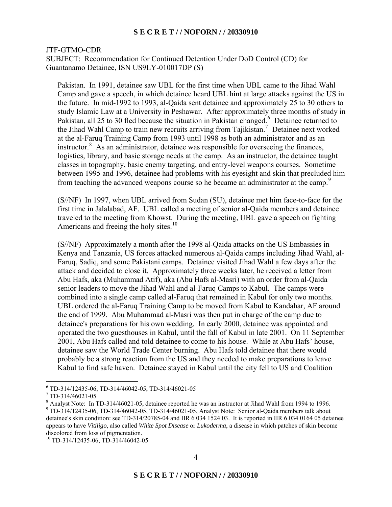#### JTF-GTMO-CDR

SUBJECT: Recommendation for Continued Detention Under DoD Control (CD) for Guantanamo Detainee, ISN US9LY-010017DP (S)

Pakistan. In 1991, detainee saw UBL for the first time when UBL came to the Jihad Wahl Camp and gave a speech, in which detainee heard UBL hint at large attacks against the US in the future. In mid-1992 to 1993, al-Qaida sent detainee and approximately 25 to 30 others to study Islamic Law at a University in Peshawar. After approximately three months of study in Pakistan, all 25 to 30 fled because the situation in Pakistan changed.<sup>6</sup> Detainee returned to the Jihad Wahl Camp to train new recruits arriving from Tajikistan.<sup>7</sup> Detainee next worked at the al-Faruq Training Camp from 1993 until 1998 as both an administrator and as an instructor.<sup>8</sup> As an administrator, detainee was responsible for overseeing the finances, logistics, library, and basic storage needs at the camp. As an instructor, the detainee taught classes in topography, basic enemy targeting, and entry-level weapons courses. Sometime between 1995 and 1996, detainee had problems with his eyesight and skin that precluded him from teaching the advanced weapons course so he became an administrator at the camp.<sup>9</sup>

Americans and freeing the holy sites.<sup>10</sup> (S//NF) In 1997, when UBL arrived from Sudan (SU), detainee met him face-to-face for the first time in Jalalabad, AF. UBL called a meeting of senior al-Qaida members and detainee traveled to the meeting from Khowst. During the meeting, UBL gave a speech on fighting

(S//NF) Approximately a month after the 1998 al-Qaida attacks on the US Embassies in Kenya and Tanzania, US forces attacked numerous al-Qaida camps including Jihad Wahl, al-Faruq, Sadiq, and some Pakistani camps. Detainee visited Jihad Wahl a few days after the attack and decided to close it. Approximately three weeks later, he received a letter from Abu Hafs, aka (Muhammad Atif), aka (Abu Hafs al-Masri) with an order from al-Qaida senior leaders to move the Jihad Wahl and al-Faruq Camps to Kabul. The camps were combined into a single camp called al-Faruq that remained in Kabul for only two months. UBL ordered the al-Faruq Training Camp to be moved from Kabul to Kandahar, AF around the end of 1999. Abu Muhammad al-Masri was then put in charge of the camp due to detainee's preparations for his own wedding. In early 2000, detainee was appointed and operated the two guesthouses in Kabul, until the fall of Kabul in late 2001. On 11 September 2001, Abu Hafs called and told detainee to come to his house. While at Abu Hafs' house, detainee saw the World Trade Center burning. Abu Hafs told detainee that there would probably be a strong reaction from the US and they needed to make preparations to leave Kabul to find safe haven. Detainee stayed in Kabul until the city fell to US and Coalition

 detainee's skin condition: see TD-314/20785-04 and IIR 6 034 1524 03. It is reported in IIR 6 034 0164 05 detainee appears to have *Vitiligo,* also called *White Spot Disease* or *Lukoderma*, a disease in which patches of skin become  $9$  TD-314/12435-06, TD-314/46042-05, TD-314/46021-05, Analyst Note: Senior al-Qaida members talk about discolored from loss of pigmentation.

 6 TD-314/12435-06, TD-314/46042-05, TD-314/46021-05

<sup>7</sup> TD-314/46021-05

<sup>&</sup>lt;sup>8</sup> Analyst Note: In TD-314/46021-05, detainee reported he was an instructor at Jihad Wahl from 1994 to 1996.

<sup>10</sup> TD-314/12435-06, TD-314/46042-05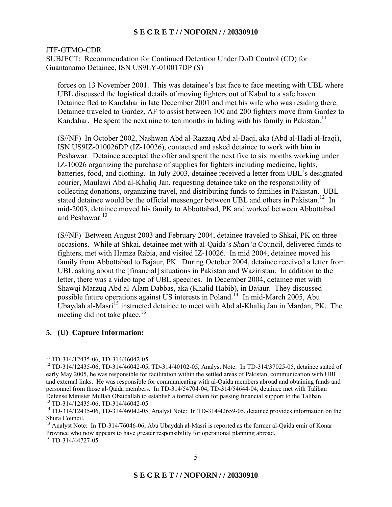#### JTF-GTMO-CDR

SUBJECT: Recommendation for Continued Detention Under DoD Control (CD) for Guantanamo Detainee, ISN US9LY-010017DP (S)

forces on 13 November 2001. This was detainee's last face to face meeting with UBL where UBL discussed the logistical details of moving fighters out of Kabul to a safe haven. Detainee fled to Kandahar in late December 2001 and met his wife who was residing there. Detainee traveled to Gardez, AF to assist between 100 and 200 fighters move from Gardez to Kandahar. He spent the next nine to ten months in hiding with his family in Pakistan.<sup>11</sup>

(S//NF) In October 2002, Nashwan Abd al-Razzaq Abd al-Baqi, aka (Abd al-Hadi al-Iraqi), ISN US9IZ-010026DP (IZ-10026), contacted and asked detainee to work with him in Peshawar. Detainee accepted the offer and spent the next five to six months working under IZ-10026 organizing the purchase of supplies for fighters including medicine, lights, batteries, food, and clothing. In July 2003, detainee received a letter from UBL's designated courier, Maulawi Abd al-Khaliq Jan, requesting detainee take on the responsibility of collecting donations, organizing travel, and distributing funds to families in Pakistan. UBL stated detainee would be the official messenger between UBL and others in Pakistan.<sup>12</sup> In mid-2003, detainee moved his family to Abbottabad, PK and worked between Abbottabad and Peshawar.<sup>13</sup>

(S//NF) Between August 2003 and February 2004, detainee traveled to Shkai, PK on three occasions. While at Shkai, detainee met with al-Qaida's *Shari'a* Council, delivered funds to fighters, met with Hamza Rabia, and visited IZ-10026. In mid 2004, detainee moved his family from Abbottabad to Bajaur, PK. During October 2004, detainee received a letter from UBL asking about the [financial] situations in Pakistan and Waziristan. In addition to the letter, there was a video tape of UBL speeches. In December 2004, detainee met with Shawqi Marzuq Abd al-Alam Dabbas, aka (Khalid Habib), in Bajaur. They discussed possible future operations against US interests in Poland.<sup>14</sup> In mid-March 2005, Abu Ubaydah al-Masri<sup>15</sup> instructed detainee to meet with Abd al-Khaliq Jan in Mardan, PK. The meeting did not take place.<sup>16</sup>

# **5. (U) Capture Information:**

<sup>&</sup>lt;sup>11</sup> TD-314/12435-06, TD-314/46042-05

 $12$  TD-314/12435-06, TD-314/46042-05, TD-314/40102-05, Analyst Note: In TD-314/37025-05, detainee stated of early May 2005, he was responsible for facilitation within the settled areas of Pakistan, communication with UBL and external links. He was responsible for communicating with al-Qaida members abroad and obtaining funds and personnel from those al-Qaida members. In TD-314/54704-04, TD-314/54644-04, detainee met with Taliban Defense Minister Mullah Obaidallah to establish a formal chain for passing financial support to the Taliban. <sup>13</sup> TD-314/12435-06, TD-314/46042-05

<sup>14</sup> TD-314/12435-06, TD-314/46042-05, Analyst Note: In TD-314/42659-05, detainee provides information on the Shura Council.

<sup>&</sup>lt;sup>15</sup> Analyst Note: In TD-314/76046-06, Abu Ubaydah al-Masri is reported as the former al-Qaida emir of Konar Province who now appears to have greater responsibility for operational planning abroad.

 $16$  TD-314/44727-05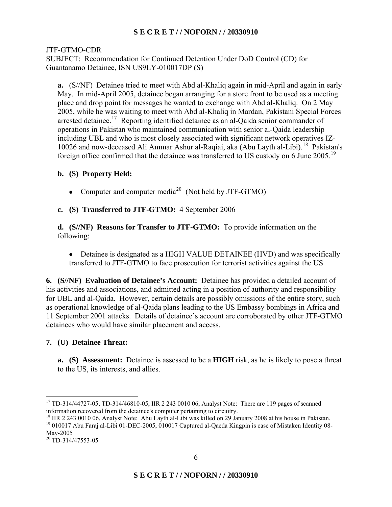# JTF-GTMO-CDR

SUBJECT: Recommendation for Continued Detention Under DoD Control (CD) for Guantanamo Detainee, ISN US9LY-010017DP (S)

**a.** (S//NF) Detainee tried to meet with Abd al-Khaliq again in mid-April and again in early May. In mid-April 2005, detainee began arranging for a store front to be used as a meeting place and drop point for messages he wanted to exchange with Abd al-Khaliq. On 2 May 2005, while he was waiting to meet with Abd al-Khaliq in Mardan, Pakistani Special Forces arrested detainee.<sup>17</sup> Reporting identified detainee as an al-Qaida senior commander of operations in Pakistan who maintained communication with senior al-Qaida leadership including UBL and who is most closely associated with significant network operatives IZ-10026 and now-deceased Ali Ammar Ashur al-Raqiai, aka (Abu Layth al-Libi).<sup>18</sup> Pakistan's foreign office confirmed that the detainee was transferred to US custody on 6 June 2005.<sup>19</sup>

# **b. (S) Property Held:**

• Computer and computer media<sup>20</sup> (Not held by JTF-GTMO)

**c. (S) Transferred to JTF-GTMO:** 4 September 2006

**d. (S//NF) Reasons for Transfer to JTF-GTMO:** To provide information on the following:

• Detainee is designated as a HIGH VALUE DETAINEE (HVD) and was specifically transferred to JTF-GTMO to face prosecution for terrorist activities against the US

**6. (S//NF) Evaluation of Detainee's Account:** Detainee has provided a detailed account of his activities and associations, and admitted acting in a position of authority and responsibility for UBL and al-Qaida. However, certain details are possibly omissions of the entire story, such as operational knowledge of al-Qaida plans leading to the US Embassy bombings in Africa and 11 September 2001 attacks. Details of detainee's account are corroborated by other JTF-GTMO detainees who would have similar placement and access.

# **7. (U) Detainee Threat:**

**a. (S) Assessment:** Detainee is assessed to be a **HIGH** risk, as he is likely to pose a threat to the US, its interests, and allies.

 $\overline{a}$ <sup>17</sup> TD-314/44727-05, TD-314/46810-05, IIR 2 243 0010 06, Analyst Note: There are 119 pages of scanned information recovered from the detainee's computer pertaining to circuitry.

<sup>&</sup>lt;sup>18</sup> IIR 2 243 0010 06, Analyst Note: Abu Layth al-Libi was killed on 29 January 2008 at his house in Pakistan. <sup>18</sup> IIR 2 243 0010 06, Analyst Note: Abu Layth al-Libi was killed on 29 January 2008 at his house in Pakistan.<br><sup>19</sup> 010017 Abu Faraj al-Libi 01-DEC-2005, 010017 Captured al-Qaeda Kingpin is case of Mistaken Identity 08-May-2005

 $20$  TD-314/47553-05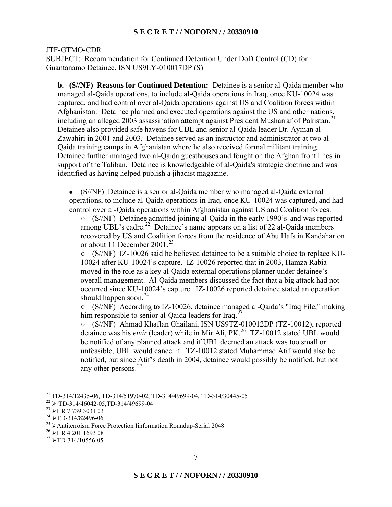JTF-GTMO-CDR

SUBJECT: Recommendation for Continued Detention Under DoD Control (CD) for Guantanamo Detainee, ISN US9LY-010017DP (S)

 Afghanistan. Detainee planned and executed operations against the US and other nations, **b. (S//NF) Reasons for Continued Detention:** Detainee is a senior al-Qaida member who managed al-Qaida operations, to include al-Qaida operations in Iraq, once KU-10024 was captured, and had control over al-Qaida operations against US and Coalition forces within including an alleged 2003 assassination attempt against President Musharraf of Pakistan.<sup>21</sup> Detainee also provided safe havens for UBL and senior al-Qaida leader Dr. Ayman al-Zawahiri in 2001 and 2003. Detainee served as an instructor and administrator at two al-Qaida training camps in Afghanistan where he also received formal militant training. Detainee further managed two al-Qaida guesthouses and fought on the Afghan front lines in support of the Taliban. Detainee is knowledgeable of al-Qaida's strategic doctrine and was identified as having helped publish a jihadist magazine.

• (S//NF) Detainee is a senior al-Qaida member who managed al-Qaida external operations, to include al-Qaida operations in Iraq, once KU-10024 was captured, and had control over al-Qaida operations within Afghanistan against US and Coalition forces.

(S//NF) Detainee admitted joining al-Qaida in the early 1990's and was reported among UBL's cadre.<sup>22</sup> Detainee's name appears on a list of 22 al-Qaida members recovered by US and Coalition forces from the residence of Abu Hafs in Kandahar on or about 11 December 2001.<sup>23</sup>

(S//NF) IZ-10026 said he believed detainee to be a suitable choice to replace KU- $\circ$ 10024 after KU-10024's capture. IZ-10026 reported that in 2003, Hamza Rabia moved in the role as a key al-Qaida external operations planner under detainee's overall management. Al-Qaida members discussed the fact that a big attack had not occurred since KU-10024's capture. IZ-10026 reported detainee stated an operation should happen soon.<sup>24</sup>

(S//NF) According to IZ-10026, detainee managed al-Qaida's "Iraq File," making  $\circ$ him responsible to senior al-Qaida leaders for Iraq.<sup>25</sup>

(S//NF) Ahmad Khaflan Ghailani, ISN US9TZ-010012DP (TZ-10012), reported detainee was his *emir* (leader) while in Mir Ali, PK.<sup>26</sup> TZ-10012 stated UBL would be notified of any planned attack and if UBL deemed an attack was too small or unfeasible, UBL would cancel it. TZ-10012 stated Muhammad Atif would also be notified, but since Atif's death in 2004, detainee would possibly be notified, but not any other persons.<sup>27</sup>

<sup>&</sup>lt;sup>21</sup> TD-314/12435-06, TD-314/51970-02, TD-314/49699-04, TD-314/30445-05

 $^{22}$  > TD-314/46042-05,TD-314/49699-04<br> $^{23}$  SHP 7 730 3031.03

 $23$  > IIR 7 739 3031 03

 $^{24}$  >TD-314/82496-06

<sup>&</sup>lt;sup>25</sup> > Antiterroism Force Protection Iinformation Roundup-Serial 2048

 $^{26}$  > IIR 4 201 1693 08

 $27$  >TD-314/10556-05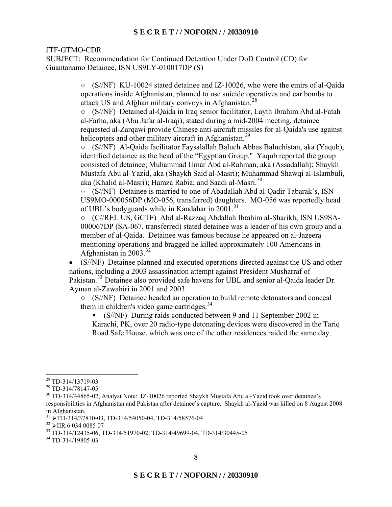SUBJECT: Recommendation for Continued Detention Under DoD Control (CD) for Guantanamo Detainee, ISN US9LY-010017DP (S)

> (S//NF) KU-10024 stated detainee and IZ-10026, who were the emirs of al-Qaida operations inside Afghanistan, planned to use suicide operatives and car bombs to attack US and Afghan military convoys in Afghanistan.<sup>28</sup>

> (S//NF) Detained al-Qaida in Iraq senior facilitator, Layth Ibrahim Abd al-Fatah  $\circ$ al-Farha, aka (Abu Jafar al-Iraqi), stated during a mid-2004 meeting, detainee requested al-Zarqawi provide Chinese anti-aircraft missiles for al-Qaida's use against helicopters and other military aircraft in Afghanistan.<sup>29</sup>

> (S//NF) Al-Qaida facilitator Faysalallah Baluch Abbas Baluchistan, aka (Yaqub),  $\circ$ identified detainee as the head of the "Egyptian Group." Yaqub reported the group consisted of detainee; Muhammad Umar Abd al-Rahman, aka (Assadallah); Shaykh Mustafa Abu al-Yazid, aka (Shaykh Said al-Masri); Muhammad Shawqi al-Islambuli, aka (Khalid al-Masri); Hamza Rabia; and Saadi al-Masri.<sup>30</sup>

(S//NF) Detainee is married to one of Abadallah Abd al-Qadir Tabarak's, ISN  $\circ$ US9MO-000056DP (MO-056, transferred) daughters. MO-056 was reportedly head of UBL's bodyguards while in Kandahar in  $2001$ <sup>31</sup>

(C//REL US, GCTF) Abd al-Razzaq Abdallah Ibrahim al-Sharikh, ISN US9SA- $\circ$ 000067DP (SA-067, transferred) stated detainee was a leader of his own group and a member of al-Qaida. Detainee was famous because he appeared on al-Jazeera mentioning operations and bragged he killed approximately 100 Americans in Afghanistan in  $2003$ .<sup>32</sup>

• (S//NF) Detainee planned and executed operations directed against the US and other nations, including a 2003 assassination attempt against President Musharraf of Pakistan.<sup>33</sup> Detainee also provided safe havens for UBL and senior al-Qaida leader Dr. Ayman al-Zawahiri in 2001 and 2003.

(S//NF) Detainee headed an operation to build remote detonators and conceal them in children's video game cartridges. $34$ 

• (S//NF) During raids conducted between 9 and 11 September 2002 in

Karachi, PK, over 20 radio-type detonating devices were discovered in the Tariq Road Safe House, which was one of the other residences raided the same day.

 $\overline{a}$ 28 TD-314/13719-03

<sup>29</sup> TD-314/78147-05

 responsibilities in Afghanistan and Pakistan after detainee's capture. Shaykh al-Yazid was killed on 8 August 2008 <sup>30</sup> TD-314/44865-02, Analyst Note: IZ-10026 reported Shaykh Mustafa Abu al-Yazid took over detainee's in Afghanistan.

<sup>&</sup>lt;sup>31</sup> > TD-314/37810-03, TD-314/54050-04, TD-314/58576-04<br><sup>32</sup> > UR 6.034,0085.07

 $\frac{32}{33}$  > IIR 6 034 0085 07<br> $\frac{33}{10}$  TD-314/12435-06, TD-314/51970-02, TD-314/49699-04, TD-314/30445-05

<sup>&</sup>lt;sup>34</sup> TD-314/19805-03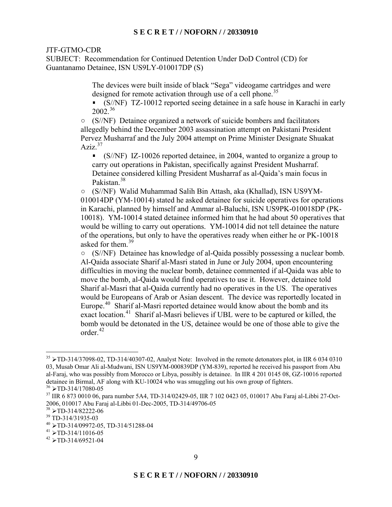SUBJECT: Recommendation for Continued Detention Under DoD Control (CD) for Guantanamo Detainee, ISN US9LY-010017DP (S)

> The devices were built inside of black "Sega" videogame cartridges and were designed for remote activation through use of a cell phone.<sup>35</sup>

• (S//NF) TZ-10012 reported seeing detainee in a safe house in Karachi in early  $2002^{36}$ 

 $\circ$  (S/NF) Detainee organized a network of suicide bombers and facilitators allegedly behind the December 2003 assassination attempt on Pakistani President Pervez Musharraf and the July 2004 attempt on Prime Minister Designate Shuakat Aziz. $37$ 

carry out operations in Pakistan, specifically against President Musharraf. • (S//NF) IZ-10026 reported detainee, in 2004, wanted to organize a group to Detainee considered killing President Musharraf as al-Qaida's main focus in Pakistan<sup>38</sup>

(S//NF) Walid Muhammad Salih Bin Attash, aka (Khallad), ISN US9YM-010014DP (YM-10014) stated he asked detainee for suicide operatives for operations in Karachi, planned by himself and Ammar al-Baluchi, ISN US9PK-010018DP (PK-10018). YM-10014 stated detainee informed him that he had about 50 operatives that would be willing to carry out operations. YM-10014 did not tell detainee the nature of the operations, but only to have the operatives ready when either he or PK-10018 asked for them  $39$ 

(S//NF) Detainee has knowledge of al-Qaida possibly possessing a nuclear bomb. Al-Qaida associate Sharif al-Masri stated in June or July 2004, upon encountering difficulties in moving the nuclear bomb, detainee commented if al-Qaida was able to move the bomb, al-Qaida would find operatives to use it. However, detainee told Sharif al-Masri that al-Qaida currently had no operatives in the US. The operatives would be Europeans of Arab or Asian descent. The device was reportedly located in Europe.<sup>40</sup> Sharif al-Masri reported detainee would know about the bomb and its exact location.<sup>41</sup> Sharif al-Masri believes if UBL were to be captured or killed, the bomb would be detonated in the US, detainee would be one of those able to give the order<sup>42</sup>

 $35 \triangleright$ TD-314/37098-02, TD-314/40307-02, Analyst Note: Involved in the remote detonators plot, in IIR 6 034 0310 al-Faraj, who was possibly from Morocco or Libya, possibly is detainee. In IIR 4 201 0145 08, GZ-10016 reported detainee in Birmal, AF along with KU-10024 who was smuggling out his own group of fighters. 03, Musab Omar Ali al-Mudwani, ISN US9YM-000839DP (YM-839), reported he received his passport from Abu

 $36$  >TD-314/17080-05

<sup>&</sup>lt;sup>36</sup> > TD-314/17080-05<br><sup>37</sup> IIR 6 873 0010 06, para number 5A4, TD-314/02429-05, IIR 7 102 0423 05, 010017 Abu Faraj al-Libbi 27-Oct-2006, 010017 Abu Faraj al-Libbi 01-Dec-2005, TD-314/49706-05

 $38 \times \text{TD-314/82222-06}$ 

 $39$  TD-314/31935-03

 $^{40}$  >TD-314/09972-05, TD-314/51288-04<br> $^{41}$  >TD 314/11016.05

 $41 \triangleright$ TD-314/11016-05

 $42 \triangleright$ TD-314/69521-04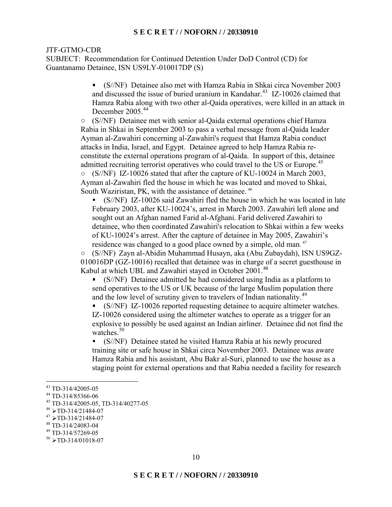SUBJECT: Recommendation for Continued Detention Under DoD Control (CD) for Guantanamo Detainee, ISN US9LY-010017DP (S)

> • (S//NF) Detainee also met with Hamza Rabia in Shkai circa November 2003 and discussed the issue of buried uranium in Kandahar.<sup>43</sup> IZ-10026 claimed that Hamza Rabia along with two other al-Qaida operatives, were killed in an attack in December 2005<sup>44</sup>

(S//NF) Detainee met with senior al-Qaida external operations chief Hamza Rabia in Shkai in September 2003 to pass a verbal message from al-Qaida leader Ayman al-Zawahiri concerning al-Zawahiri's request that Hamza Rabia conduct attacks in India, Israel, and Egypt. Detainee agreed to help Hamza Rabia reconstitute the external operations program of al-Qaida. In support of this, detainee admitted recruiting terrorist operatives who could travel to the US or Europe.<sup>45</sup> (S//NF) IZ-10026 stated that after the capture of KU-10024 in March 2003,  $\circ$ 

South Waziristan, PK, with the assistance of detainee.<sup>46</sup> Ayman al-Zawahiri fled the house in which he was located and moved to Shkai,

• (S//NF) IZ-10026 said Zawahiri fled the house in which he was located in late February 2003, after KU-10024's, arrest in March 2003. Zawahiri left alone and sought out an Afghan named Farid al-Afghani. Farid delivered Zawahiri to detainee, who then coordinated Zawahiri's relocation to Shkai within a few weeks of KU-10024's arrest. After the capture of detainee in May 2005, Zawahiri's residence was changed to a good place owned by a simple, old man. 47

 (S//NF) Zayn al-Abidin Muhammad Husayn, aka (Abu Zubaydah), ISN US9GZ-010016DP (GZ-10016) recalled that detainee was in charge of a secret guesthouse in Kabul at which UBL and Zawahiri stayed in October 2001.<sup>48</sup>

• (S//NF) Detainee admitted he had considered using India as a platform to send operatives to the US or UK because of the large Muslim population there and the low level of scrutiny given to travelers of Indian nationality.<sup>49</sup>

• (S//NF) IZ-10026 reported requesting detainee to acquire altimeter watches. IZ-10026 considered using the altimeter watches to operate as a trigger for an explosive to possibly be used against an Indian airliner. Detainee did not find the watches  $50$ 

• (S//NF) Detainee stated he visited Hamza Rabia at his newly procured training site or safe house in Shkai circa November 2003. Detainee was aware Hamza Rabia and his assistant, Abu Bakr al-Suri, planned to use the house as a staging point for external operations and that Rabia needed a facility for research

<sup>43</sup> TD-314/42005-05

 $^{44}$  TD-314/85366-06

<sup>45</sup> TD-314/42005-05, TD-314/40277-05

 $^{46}$  > TD-314/21484-07

 $^{47}$  > TD-314/21484-07<br> $^{48}$  TD-314/24083-04

<sup>49</sup> TD-314/57269-05

 $50 \triangleright$ TD-314/01018-07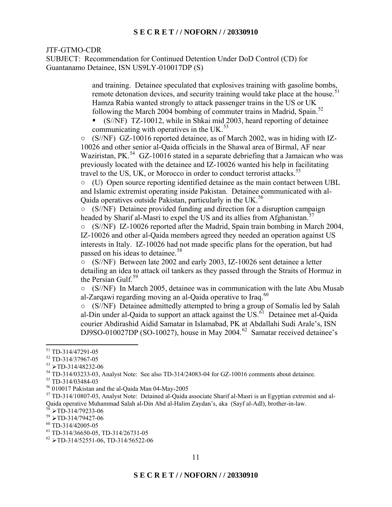SUBJECT: Recommendation for Continued Detention Under DoD Control (CD) for Guantanamo Detainee, ISN US9LY-010017DP (S)

> and training. Detainee speculated that explosives training with gasoline bombs, remote detonation devices, and security training would take place at the house.<sup>51</sup> Hamza Rabia wanted strongly to attack passenger trains in the US or UK following the March 2004 bombing of commuter trains in Madrid, Spain.<sup>52</sup>

communicating with operatives in the UK. $^{53}$ • (S//NF) TZ-10012, while in Shkai mid 2003, heard reporting of detainee

(S//NF) GZ-10016 reported detainee, as of March 2002, was in hiding with IZ-10026 and other senior al-Qaida officials in the Shawal area of Birmal, AF near Waziristan, PK.<sup>54</sup> GZ-10016 stated in a separate debriefing that a Jamaican who was previously located with the detainee and IZ-10026 wanted his help in facilitating travel to the US, UK, or Morocco in order to conduct terrorist attacks.<sup>55</sup>

(U) Open source reporting identified detainee as the main contact between UBL and Islamic extremist operating inside Pakistan. Detainee communicated with al-Qaida operatives outside Pakistan, particularly in the UK.<sup>56</sup>

 $\circ$  (S//NF) Detainee provided funding and direction for a disruption campaign headed by Sharif al-Masri to expel the US and its allies from Afghanistan.<sup>57</sup>

(S//NF) IZ-10026 reported after the Madrid, Spain train bombing in March 2004,  $\circ$ IZ-10026 and other al-Qaida members agreed they needed an operation against US interests in Italy. IZ-10026 had not made specific plans for the operation, but had passed on his ideas to detainee.<sup>58</sup>

(S//NF) Between late 2002 and early 2003, IZ-10026 sent detainee a letter detailing an idea to attack oil tankers as they passed through the Straits of Hormuz in the Persian Gulf.<sup>59</sup>

(S//NF) In March 2005, detainee was in communication with the late Abu Musab al-Zarqawi regarding moving an al-Qaida operative to Iraq. $60$ 

(S//NF) Detainee admittedly attempted to bring a group of Somalis led by Salah al-Din under al-Qaida to support an attack against the  $\overline{US}$ .<sup>61</sup> Detainee met al-Qaida courier Abdirashid Aidid Samatar in Islamabad, PK at Abdallahi Sudi Arale's, ISN DJ9SO-010027DP (SO-10027), house in May 2004.<sup>62</sup> Samatar received detainee's

<sup>51</sup> TD-314/47291-05

<sup>52</sup> TD-314/37967-05

 $53$  >TD-314/48232-06

 $^{54}$  TD-314/03233-03, Analyst Note: See also TD-314/24083-04 for GZ-10016 comments about detainee.

 $55$  TD-314/03484-03

<sup>56 010017</sup> Pakistan and the al-Qaida Man 04-May-2005

<sup>57</sup> TD-314/10807-03, Analyst Note: Detained al-Qaida associate Sharif al-Masri is an Egyptian extremist and al-Qaida operative Muhammad Salah al-Din Abd al-Halim Zaydan's, aka (Sayf al-Adl), brother-in-law.<br>
<sup>58</sup> TD 214/70222.06

 $^{58}$  > TD-314/79233-06<br> $^{59}$  > TD-314/79427-06

 $60$  TD-314/42005-05

<sup>61</sup> TD-314/36650-05, TD-314/26731-05

 $62$  >TD-314/52551-06, TD-314/56522-06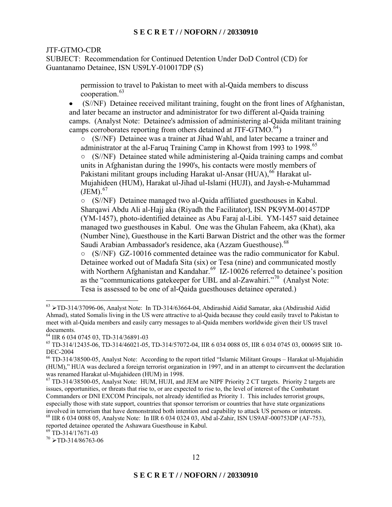SUBJECT: Recommendation for Continued Detention Under DoD Control (CD) for Guantanamo Detainee, ISN US9LY-010017DP (S)

> permission to travel to Pakistan to meet with al-Qaida members to discuss cooperation.<sup>63</sup>

• (S//NF) Detainee received militant training, fought on the front lines of Afghanistan, and later became an instructor and administrator for two different al-Qaida training camps. (Analyst Note: Detainee's admission of administering al-Qaida militant training camps corroborates reporting from others detained at JTF-GTMO. $^{64}$ )

(S//NF) Detainee was a trainer at Jihad Wahl, and later became a trainer and administrator at the al-Faruq Training Camp in Khowst from 1993 to 1998.<sup>65</sup>

(S//NF) Detainee stated while administering al-Qaida training camps and combat units in Afghanistan during the 1990's, his contacts were mostly members of Pakistani militant groups including Harakat ul-Ansar (HUA),<sup>66</sup> Harakat ul-Mujahideen (HUM), Harakat ul-Jihad ul-Islami (HUJI), and Jaysh-e-Muhammad  $(JEM).<sup>67</sup>$ 

(S//NF) Detainee managed two al-Qaida affiliated guesthouses in Kabul. Sharqawi Abdu Ali al-Hajj aka (Riyadh the Facilitator), ISN PK9YM-001457DP (YM-1457), photo-identified detainee as Abu Faraj al-Libi. YM-1457 said detainee managed two guesthouses in Kabul. One was the Ghulan Faheem, aka (Khat), aka (Number Nine), Guesthouse in the Karti Barwan District and the other was the former Saudi Arabian Ambassador's residence, aka (Azzam Guesthouse).<sup>68</sup>

(S//NF) GZ-10016 commented detainee was the radio communicator for Kabul.  $\circ$ Detainee worked out of Madafa Sita (six) or Tesa (nine) and communicated mostly with Northern Afghanistan and Kandahar.<sup>69</sup> IZ-10026 referred to detainee's position as the "communications gatekeeper for UBL and al-Zawahiri."70 (Analyst Note: Tesa is assessed to be one of al-Qaida guesthouses detainee operated.)

 $\frac{63}{2}$  >TD-314/37096-06, Analyst Note: In TD-314/63664-04, Abdirashid Aidid Samatar, aka (Abdirashid Aidid Ahmad), stated Somalis living in the US were attractive to al-Qaida because they could easily travel to Pakistan to meet with al-Qaida members and easily carry messages to al-Qaida members worldwide given their US travel documents.

 64 IIR 6 034 0745 03, TD-314/36891-03

 65 TD-314/12435-06, TD-314/46021-05, TD-314/57072-04, IIR 6 034 0088 05, IIR 6 034 0745 03, 000695 SIR 10- DEC-2004

<sup>66</sup> TD-314/38500-05, Analyst Note: According to the report titled "Islamic Militant Groups – Harakat ul-Mujahidin (HUM)," HUA was declared a foreign terrorist organization in 1997, and in an attempt to circumvent the declaration was renamed Harakat ul-Mujahideen (HUM) in 1998.

involved in terrorism that have demonstrated both intention and capability to attack US persons or interests.<br><sup>68</sup> IIR 6 034 0088 05, Analyste Note: In IIR 6 034 0324 03, Abd al-Zahir, ISN US9AF-000753DP (AF-753), 67 TD-314/38500-05, Analyst Note: HUM, HUJI, and JEM are NIPF Priority 2 CT targets. Priority 2 targets are issues, opportunities, or threats that rise to, or are expected to rise to, the level of interest of the Combatant Commanders or DNI EXCOM Principals, not already identified as Priority 1. This includes terrorist groups, especially those with state support, countries that sponsor terrorism or countries that have state organizations

reported detainee operated the Ashawara Guesthouse in Kabul.

 $69$ <sup>T</sup>D-314/17671-03

 $70 \triangleright$ TD-314/86763-06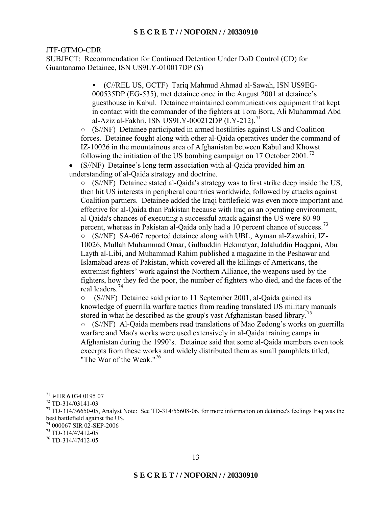SUBJECT: Recommendation for Continued Detention Under DoD Control (CD) for Guantanamo Detainee, ISN US9LY-010017DP (S)

> • (C//REL US, GCTF) Tariq Mahmud Ahmad al-Sawah, ISN US9EG-000535DP (EG-535), met detainee once in the August 2001 at detainee's guesthouse in Kabul. Detainee maintained communications equipment that kept in contact with the commander of the fighters at Tora Bora, Ali Muhammad Abd al-Aziz al-Fakhri, ISN US9LY-000212DP  $(LY-212)$ .<sup>71</sup>

(S//NF) Detainee participated in armed hostilities against US and Coalition  $\circ$ forces. Detainee fought along with other al-Qaida operatives under the command of IZ-10026 in the mountainous area of Afghanistan between Kabul and Khowst following the initiation of the US bombing campaign on 17 October 2001.<sup>72</sup>

• (S//NF) Detainee's long term association with al-Qaida provided him an understanding of al-Qaida strategy and doctrine.

(S//NF) Detainee stated al-Qaida's strategy was to first strike deep inside the US, then hit US interests in peripheral countries worldwide, followed by attacks against Coalition partners. Detainee added the Iraqi battlefield was even more important and effective for al-Qaida than Pakistan because with Iraq as an operating environment, al-Qaida's chances of executing a successful attack against the US were 80-90 percent, whereas in Pakistan al-Qaida only had a 10 percent chance of success.<sup>73</sup>  $\circ$ (S//NF) SA-067 reported detainee along with UBL, Ayman al-Zawahiri, IZ-10026, Mullah Muhammad Omar, Gulbuddin Hekmatyar, Jalaluddin Haqqani, Abu Layth al-Libi, and Muhammad Rahim published a magazine in the Peshawar and Islamabad areas of Pakistan, which covered all the killings of Americans, the extremist fighters' work against the Northern Alliance, the weapons used by the fighters, how they fed the poor, the number of fighters who died, and the faces of the real leaders.<sup>74</sup>

 (S//NF) Detainee said prior to 11 September 2001, al-Qaida gained its  $\circ$ knowledge of guerrilla warfare tactics from reading translated US military manuals stored in what he described as the group's vast Afghanistan-based library.<sup>75</sup>

(S//NF) Al-Qaida members read translations of Mao Zedong's works on guerrilla warfare and Mao's works were used extensively in al-Qaida training camps in Afghanistan during the 1990's. Detainee said that some al-Qaida members even took excerpts from these works and widely distributed them as small pamphlets titled, "The War of the Weak."<sup>76</sup>

 $\frac{1}{71}$ 

<sup>&</sup>lt;sup>72</sup> TD-314/03141-03

<sup>&</sup>lt;sup>73</sup> TD-314/36650-05, Analyst Note: See TD-314/55608-06, for more information on detainee's feelings Iraq was the best battlefield against the US.

<sup>74 000067</sup> SIR 02-SEP-2006

<sup>75</sup> TD-314/47412-05

<sup>76</sup> TD-314/47412-05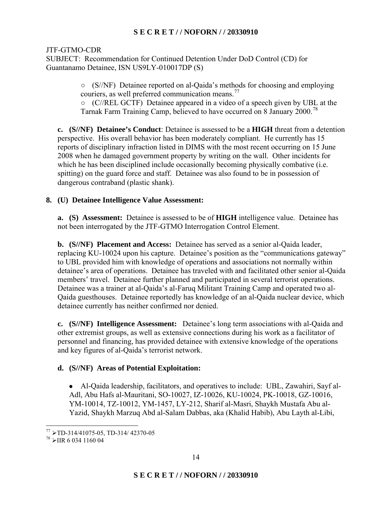SUBJECT: Recommendation for Continued Detention Under DoD Control (CD) for Guantanamo Detainee, ISN US9LY-010017DP (S)

> (S//NF) Detainee reported on al-Qaida's methods for choosing and employing couriers, as well preferred communication means.<sup>77</sup>

(C//REL GCTF) Detainee appeared in a video of a speech given by UBL at the Tarnak Farm Training Camp, believed to have occurred on 8 January 2000.<sup>78</sup>

**c. (S//NF) Detainee's Conduct**: Detainee is assessed to be a **HIGH** threat from a detention perspective. His overall behavior has been moderately compliant. He currently has 15 reports of disciplinary infraction listed in DIMS with the most recent occurring on 15 June 2008 when he damaged government property by writing on the wall. Other incidents for which he has been disciplined include occasionally becoming physically combative (i.e. spitting) on the guard force and staff. Detainee was also found to be in possession of dangerous contraband (plastic shank).

# **8. (U) Detainee Intelligence Value Assessment:**

**a. (S) Assessment:** Detainee is assessed to be of **HIGH** intelligence value. Detainee has not been interrogated by the JTF-GTMO Interrogation Control Element.

**b. (S//NF) Placement and Access:** Detainee has served as a senior al-Qaida leader, replacing KU-10024 upon his capture. Detainee's position as the "communications gateway" to UBL provided him with knowledge of operations and associations not normally within detainee's area of operations. Detainee has traveled with and facilitated other senior al-Qaida members' travel. Detainee further planned and participated in several terrorist operations. Detainee was a trainer at al-Qaida's al-Faruq Militant Training Camp and operated two al-Qaida guesthouses. Detainee reportedly has knowledge of an al-Qaida nuclear device, which detainee currently has neither confirmed nor denied.

**c. (S//NF) Intelligence Assessment:** Detainee's long term associations with al-Qaida and other extremist groups, as well as extensive connections during his work as a facilitator of personnel and financing, has provided detainee with extensive knowledge of the operations and key figures of al-Qaida's terrorist network.

# **d. (S//NF) Areas of Potential Exploitation:**

• Al-Qaida leadership, facilitators, and operatives to include: UBL, Zawahiri, Sayf al-Adl, Abu Hafs al-Mauritani, SO-10027, IZ-10026, KU-10024, PK-10018, GZ-10016, YM-10014, TZ-10012, YM-1457, LY-212, Sharif al-Masri, Shaykh Mustafa Abu al-Yazid, Shaykh Marzuq Abd al-Salam Dabbas, aka (Khalid Habib), Abu Layth al-Libi,

 $\frac{77}{77}$  > TD-314/41075-05, TD-314/ 42370-05<br> $\frac{78}{78}$  > HP 6.034, 1160.04

 $^{78}$  > IIR 6 034 1160 04